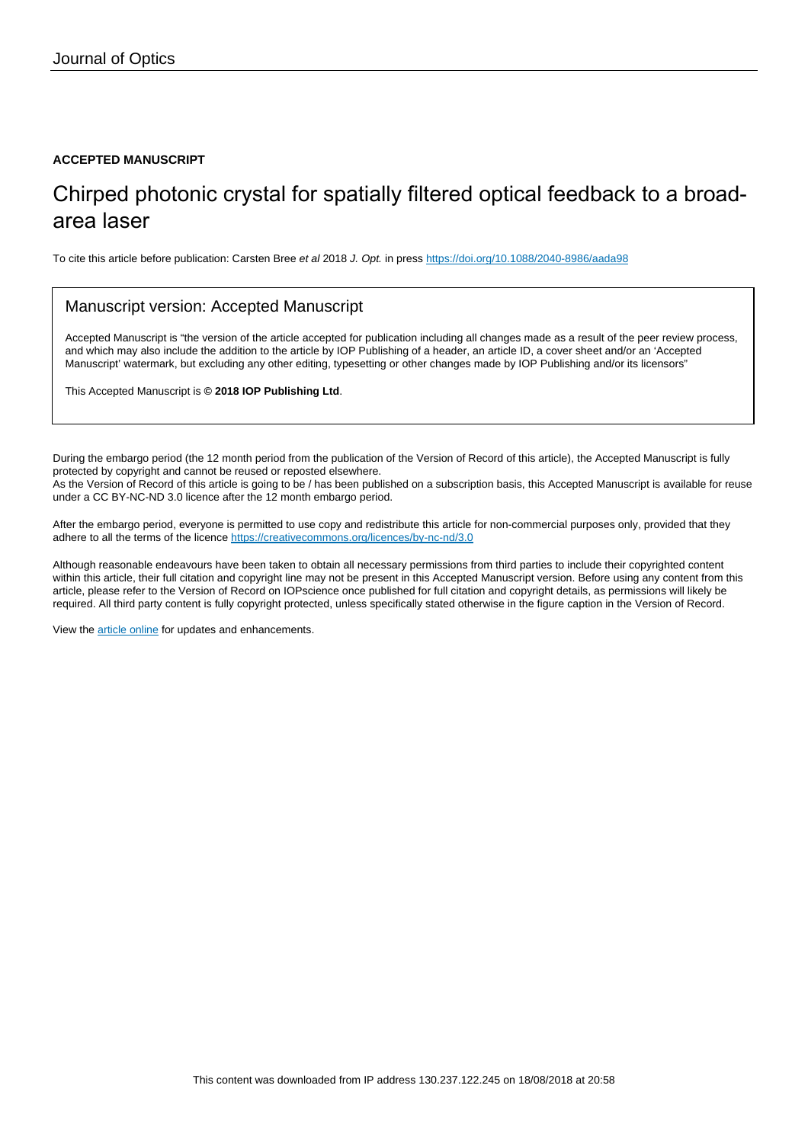### **ACCEPTED MANUSCRIPT**

## Chirped photonic crystal for spatially filtered optical feedback to a broadarea laser

To cite this article before publication: Carsten Bree et al 2018 J. Opt. in press <https://doi.org/10.1088/2040-8986/aada98>

## Manuscript version: Accepted Manuscript

Accepted Manuscript is "the version of the article accepted for publication including all changes made as a result of the peer review process, and which may also include the addition to the article by IOP Publishing of a header, an article ID, a cover sheet and/or an 'Accepted Manuscript' watermark, but excluding any other editing, typesetting or other changes made by IOP Publishing and/or its licensors"

This Accepted Manuscript is **© 2018 IOP Publishing Ltd**.

During the embargo period (the 12 month period from the publication of the Version of Record of this article), the Accepted Manuscript is fully protected by copyright and cannot be reused or reposted elsewhere. As the Version of Record of this article is going to be / has been published on a subscription basis, this Accepted Manuscript is available for reuse under a CC BY-NC-ND 3.0 licence after the 12 month embargo period.

After the embargo period, everyone is permitted to use copy and redistribute this article for non-commercial purposes only, provided that they adhere to all the terms of the licence <https://creativecommons.org/licences/by-nc-nd/3.0>

Although reasonable endeavours have been taken to obtain all necessary permissions from third parties to include their copyrighted content within this article, their full citation and copyright line may not be present in this Accepted Manuscript version. Before using any content from this article, please refer to the Version of Record on IOPscience once published for full citation and copyright details, as permissions will likely be required. All third party content is fully copyright protected, unless specifically stated otherwise in the figure caption in the Version of Record.

View the [article online](https://doi.org/10.1088/2040-8986/aada98) for updates and enhancements.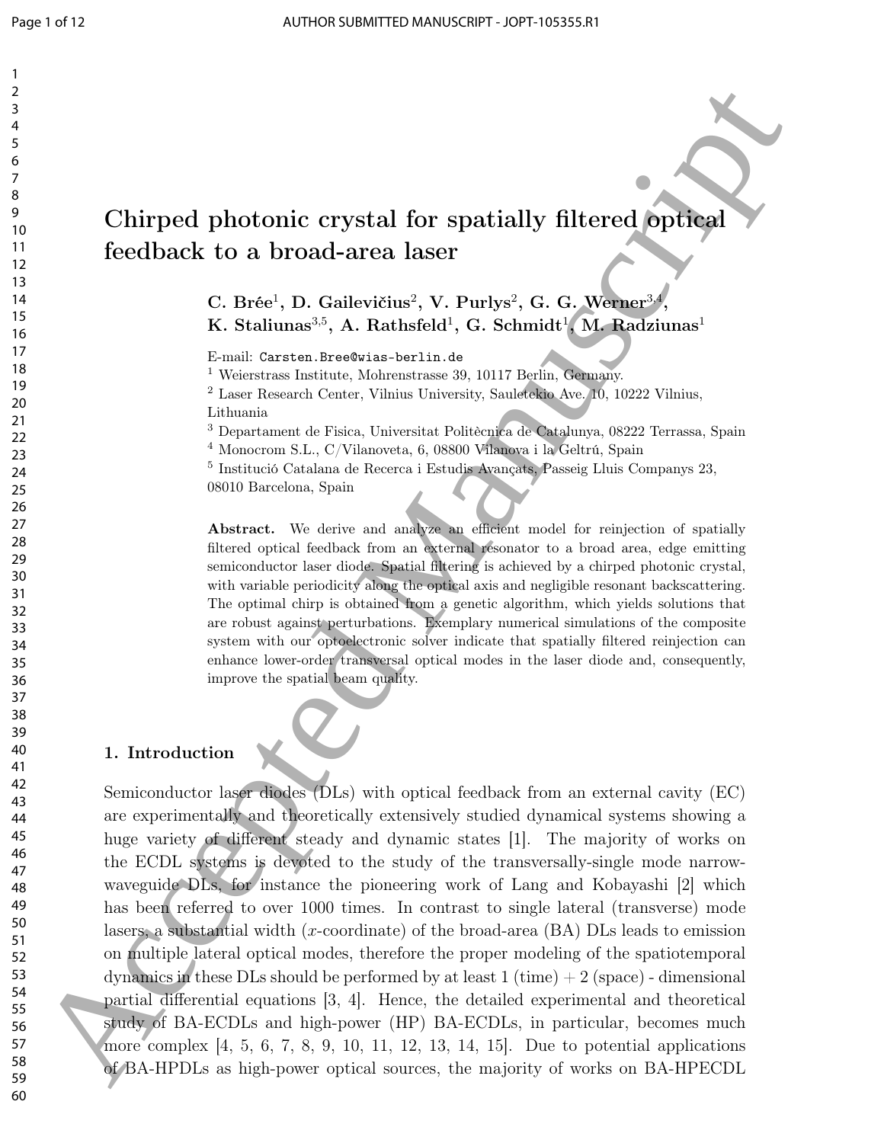# Chirped photonic crystal for spatially filtered optical feedback to a broad-area laser

 $\rm C.~Br\acute{e}e^1,~D.~Gailevičius^2,~V.~Purlys^2,~G.~G.~Werner^{3,4}$ , K. Staliunas $^{3,5}$ , A. Rathsfeld $^1$ , G. Schmidt $^1$ , M. Radziunas $^1$ 

E-mail: Carsten.Bree@wias-berlin.de

Weierstrass Institute, Mohrenstrasse 39, 10117 Berlin, Germany.

 Laser Research Center, Vilnius University, Sauletekio Ave. 10, 10222 Vilnius, Lithuania

Departament de Fisica, Universitat Politècnica de Catalunya, 08222 Terrassa, Spain

Monocrom S.L., C/Vilanoveta, 6, 08800 Vilanova i la Geltrú, Spain

 Institució Catalana de Recerca i Estudis Avançats, Passeig Lluis Companys 23, 08010 Barcelona, Spain

Abstract. We derive and analyze an efficient model for reinjection of spatially filtered optical feedback from an external resonator to a broad area, edge emitting semiconductor laser diode. Spatial filtering is achieved by a chirped photonic crystal, with variable periodicity along the optical axis and negligible resonant backscattering. The optimal chirp is obtained from a genetic algorithm, which yields solutions that are robust against perturbations. Exemplary numerical simulations of the composite system with our optoelectronic solver indicate that spatially filtered reinjection can enhance lower-order transversal optical modes in the laser diode and, consequently, improve the spatial beam quality.

#### 1. Introduction

Semiconductor laser diodes (DLs) with optical feedback from an external cavity (EC) are experimentally and theoretically extensively studied dynamical systems showing a huge variety of different steady and dynamic states [1]. The majority of works on the ECDL systems is devoted to the study of the transversally-single mode narrowwaveguide DLs, for instance the pioneering work of Lang and Kobayashi [2] which has been referred to over 1000 times. In contrast to single lateral (transverse) mode lasers, a substantial width  $(x$ -coordinate) of the broad-area  $(BA)$  DLs leads to emission on multiple lateral optical modes, therefore the proper modeling of the spatiotemporal dynamics in these DLs should be performed by at least  $1 \times 1$  (time)  $+ 2 \times 2$  (space) - dimensional partial differential equations [3, 4]. Hence, the detailed experimental and theoretical study of BA-ECDLs and high-power (HP) BA-ECDLs, in particular, becomes much more complex [4, 5, 6, 7, 8, 9, 10, 11, 12, 13, 14, 15]. Due to potential applications of BA-HPDLs as high-power optical sources, the majority of works on BA-HPECDL Chirpsel photonic crystal for spatially filtered application of the spatially filtered application and the spatially filtered application and the spatial photonic crystal for a bottom in the spatial photonic C. G. Weight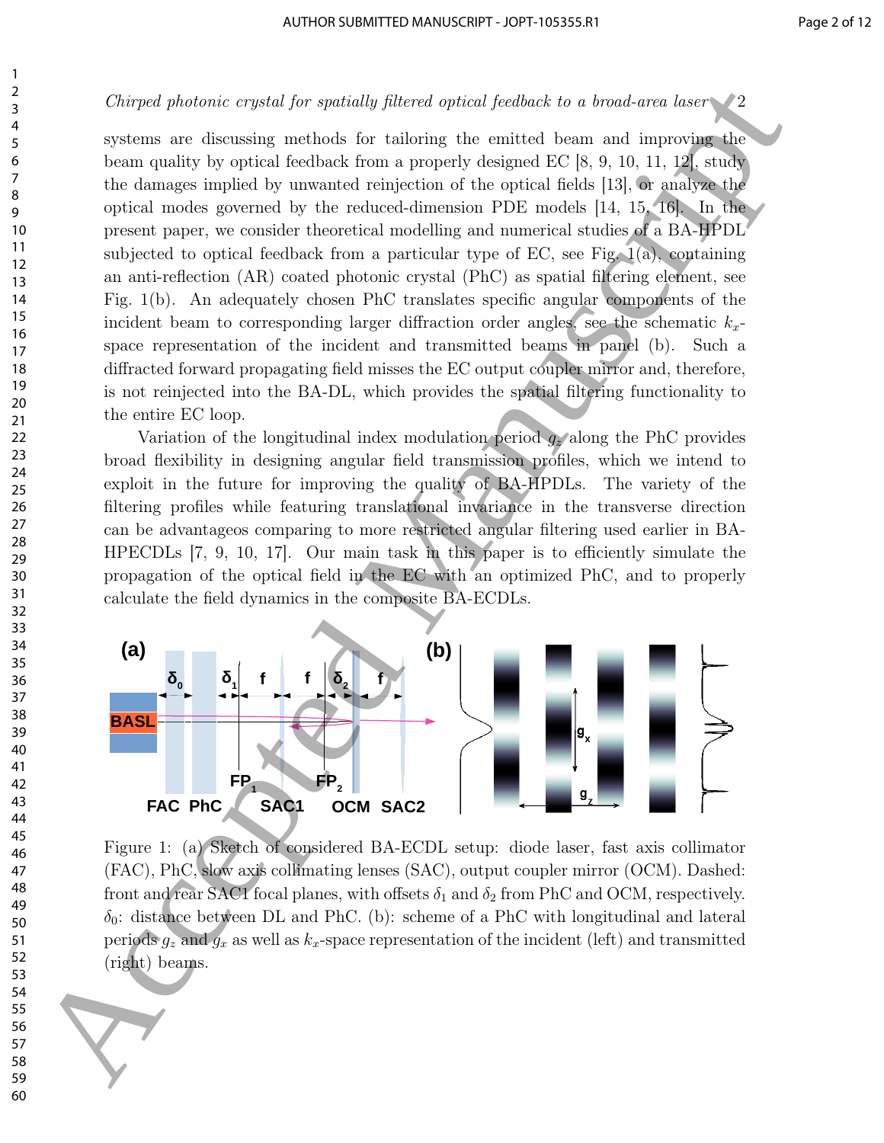systems are discussing methods for tailoring the emitted beam and improving the beam quality by optical feedback from a properly designed EC [8, 9, 10, 11, 12], study the damages implied by unwanted reinjection of the optical fields [13], or analyze the optical modes governed by the reduced-dimension PDE models [14, 15, 16]. In the present paper, we consider theoretical modelling and numerical studies of a BA-HPDL subjected to optical feedback from a particular type of EC, see Fig. 1(a), containing an anti-reflection (AR) coated photonic crystal (PhC) as spatial filtering element, see Fig. 1(b). An adequately chosen PhC translates specific angular components of the incident beam to corresponding larger diffraction order angles, see the schematic  $k_x$ space representation of the incident and transmitted beams in panel (b). Such a diffracted forward propagating field misses the EC output coupler mirror and, therefore, is not reinjected into the BA-DL, which provides the spatial filtering functionality to the entire EC loop. Chirges photonic captat for spotsary photon spires from<br>the second one are considered as the property dissipation for a metalling<br>term and show that the subset of the subset of the second line and<br>the damage implication o

Variation of the longitudinal index modulation period  $q_z$  along the PhC provides broad flexibility in designing angular field transmission profiles, which we intend to exploit in the future for improving the quality of BA-HPDLs. The variety of the filtering profiles while featuring translational invariance in the transverse direction can be advantageos comparing to more restricted angular filtering used earlier in BA-HPECDLs [7, 9, 10, 17]. Our main task in this paper is to efficiently simulate the propagation of the optical field in the EC with an optimized PhC, and to properly calculate the field dynamics in the composite BA-ECDLs.



Figure 1: (a) Sketch of considered BA-ECDL setup: diode laser, fast axis collimator (FAC), PhC, slow axis collimating lenses (SAC), output coupler mirror (OCM). Dashed: front and rear SAC1 focal planes, with offsets  $\delta_1$  and  $\delta_2$  from PhC and OCM, respectively.  $\delta_0$ : distance between DL and PhC. (b): scheme of a PhC with longitudinal and lateral periods  $g_z$  and  $g_x$  as well as  $k_x$ -space representation of the incident (left) and transmitted (right) beams.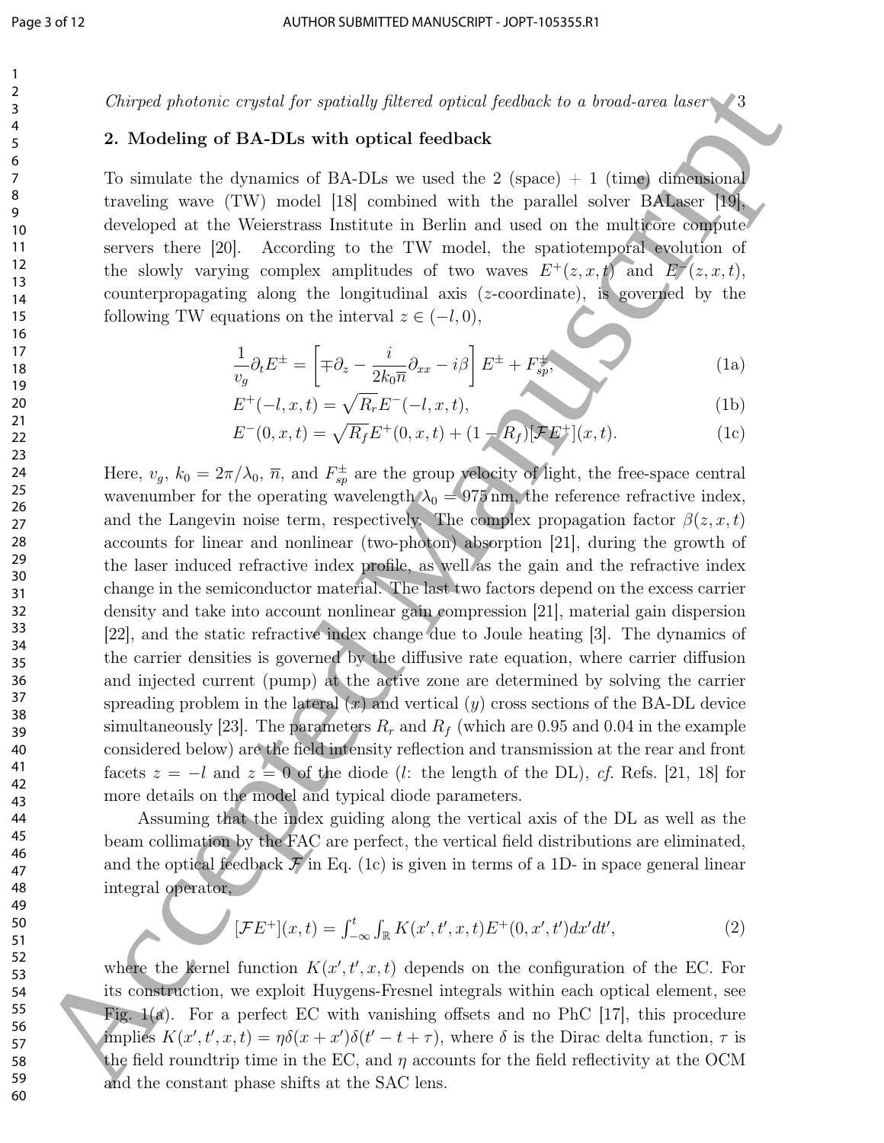## 2. Modeling of BA-DLs with optical feedback

To simulate the dynamics of BA-DLs we used the  $2$  (space)  $+1$  (time) dimensional traveling wave (TW) model [18] combined with the parallel solver BALaser [19], developed at the Weierstrass Institute in Berlin and used on the multicore compute servers there [20]. According to the TW model, the spatiotemporal evolution of the slowly varying complex amplitudes of two waves  $E^+(z, x, t)$  and  $E^-(z, x, t)$ , counterpropagating along the longitudinal axis (z-coordinate), is governed by the following TW equations on the interval  $z \in (-l, 0)$ ,

$$
\frac{1}{v_g} \partial_t E^{\pm} = \left[ \mp \partial_z - \frac{i}{2k_0 \overline{n}} \partial_{xx} - i\beta \right] E^{\pm} + F^{\pm}_{sp}, \tag{1a}
$$

$$
E^+(-l, x, t) = \sqrt{R_r} E^-(-l, x, t), \tag{1b}
$$

$$
E^{-}(0, x, t) = \sqrt{R_f}E^{+}(0, x, t) + (1 - R_f)[\mathcal{F}E^{+}](x, t). \tag{1c}
$$

Here,  $v_g$ ,  $k_0 = 2\pi/\lambda_0$ ,  $\overline{n}$ , and  $F_{sp}^{\pm}$  are the group velocity of light, the free-space central wavenumber for the operating wavelength  $\lambda_0 = 975$  nm, the reference refractive index, and the Langevin noise term, respectively. The complex propagation factor  $\beta(z, x, t)$ accounts for linear and nonlinear (two-photon) absorption [21], during the growth of the laser induced refractive index profile, as well as the gain and the refractive index change in the semiconductor material. The last two factors depend on the excess carrier density and take into account nonlinear gain compression [21], material gain dispersion [22], and the static refractive index change due to Joule heating [3]. The dynamics of the carrier densities is governed by the diffusive rate equation, where carrier diffusion and injected current (pump) at the active zone are determined by solving the carrier spreading problem in the lateral  $(x)$  and vertical  $(y)$  cross sections of the BA-DL device simultaneously [23]. The parameters  $R_r$  and  $R_f$  (which are 0.95 and 0.04 in the example considered below) are the field intensity reflection and transmission at the rear and front facets  $z = -l$  and  $z = 0$  of the diode (l: the length of the DL), cf. Refs. [21, 18] for more details on the model and typical diode parameters. Chinese problem of the particular particular fields of the hinder of the solution of the solution of the solution of the solution of the solution of the solution of the solution of the solution of the solution of the solu

Assuming that the index guiding along the vertical axis of the DL as well as the beam collimation by the FAC are perfect, the vertical field distributions are eliminated, and the optical feedback  $\mathcal F$  in Eq. (1c) is given in terms of a 1D- in space general linear integral operator,

$$
\int [FE^+](x,t) = \int_{-\infty}^t \int_{\mathbb{R}} K(x',t',x,t)E^+(0,x',t')dx'dt', \tag{2}
$$

where the kernel function  $K(x', t', x, t)$  depends on the configuration of the EC. For its construction, we exploit Huygens-Fresnel integrals within each optical element, see Fig.  $f(x)$ . For a perfect EC with vanishing offsets and no PhC [17], this procedure implies  $K(x', t', x, t) = \eta \delta(x + x') \delta(t' - t + \tau)$ , where  $\delta$  is the Dirac delta function,  $\tau$  is the field roundtrip time in the EC, and  $\eta$  accounts for the field reflectivity at the OCM and the constant phase shifts at the SAC lens.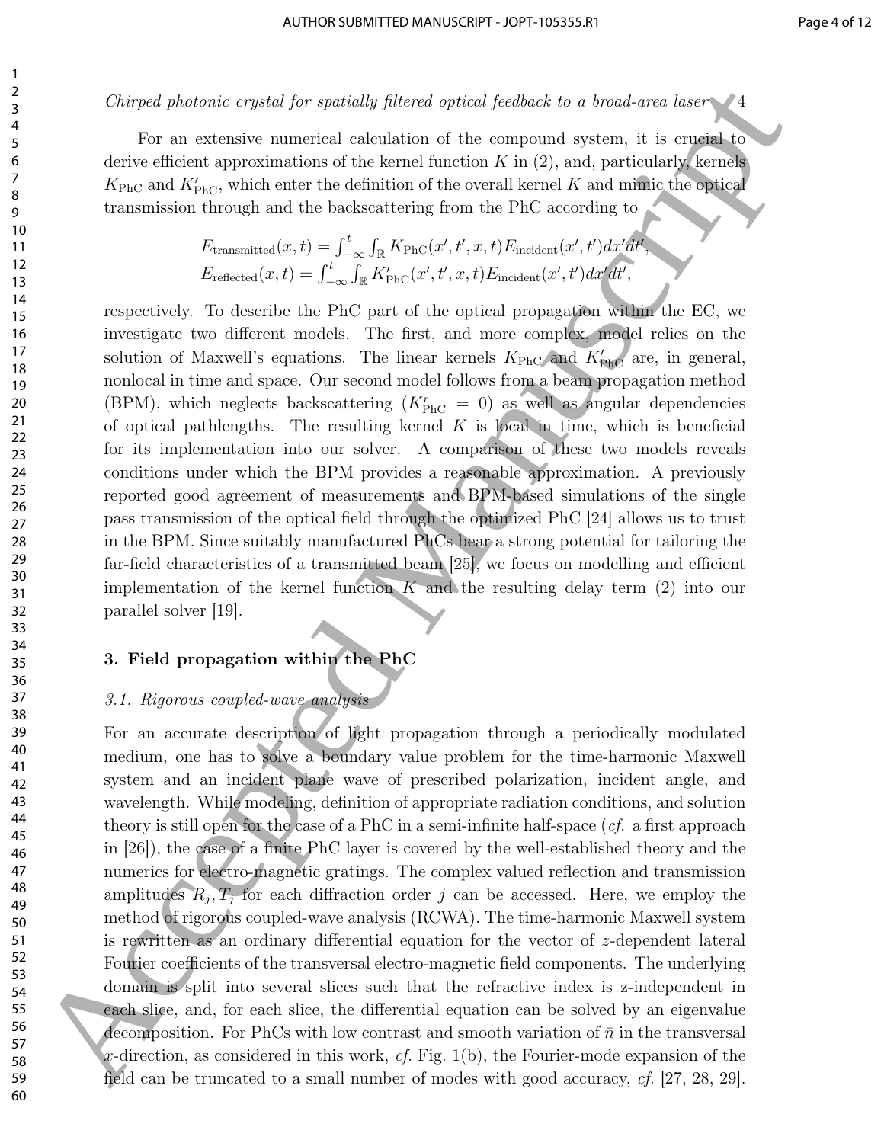For an extensive numerical calculation of the compound system, it is crucial to derive efficient approximations of the kernel function  $K$  in  $(2)$ , and, particularly, kernels  $K_{\text{PhC}}$  and  $K'_{\text{PhC}}$ , which enter the definition of the overall kernel K and mimic the optical transmission through and the backscattering from the PhC according to

$$
E_{\text{transmitted}}(x,t) = \int_{-\infty}^{t} \int_{\mathbb{R}} K_{\text{PhC}}(x',t',x,t) E_{\text{incident}}(x',t') dx' dt',
$$
  

$$
E_{\text{reflected}}(x,t) = \int_{-\infty}^{t} \int_{\mathbb{R}} K'_{\text{PhC}}(x',t',x,t) E_{\text{incident}}(x',t') dx' dt',
$$

respectively. To describe the PhC part of the optical propagation within the EC, we investigate two different models. The first, and more complex, model relies on the solution of Maxwell's equations. The linear kernels  $K_{\text{PhC}}$  and  $K'_{\text{PhC}}$  are, in general, nonlocal in time and space. Our second model follows from a beam propagation method (BPM), which neglects backscattering  $(K_{\text{PhC}}^r = 0)$  as well as angular dependencies of optical pathlengths. The resulting kernel  $K$  is local in time, which is beneficial for its implementation into our solver. A comparison of these two models reveals conditions under which the BPM provides a reasonable approximation. A previously reported good agreement of measurements and BPM-based simulations of the single pass transmission of the optical field through the optimized PhC [24] allows us to trust in the BPM. Since suitably manufactured PhCs bear a strong potential for tailoring the far-field characteristics of a transmitted beam [25], we focus on modelling and efficient implementation of the kernel function  $K$  and the resulting delay term (2) into our parallel solver [19].

## 3. Field propagation within the PhC

## 3.1. Rigorous coupled-wave analysis

For an accurate description of light propagation through a periodically modulated medium, one has to solve a boundary value problem for the time-harmonic Maxwell system and an incident plane wave of prescribed polarization, incident angle, and wavelength. While modeling, definition of appropriate radiation conditions, and solution theory is still open for the case of a PhC in a semi-infinite half-space  $(cf.$  a first approach in [26]), the case of a finite PhC layer is covered by the well-established theory and the numerics for electro-magnetic gratings. The complex valued reflection and transmission amplitudes  $R_j$ ,  $T_j$  for each diffraction order j can be accessed. Here, we employ the method of rigorous coupled-wave analysis (RCWA). The time-harmonic Maxwell system is rewritten as an ordinary differential equation for the vector of z-dependent lateral Fourier coefficients of the transversal electro-magnetic field components. The underlying domain is split into several slices such that the refractive index is z-independent in each slice, and, for each slice, the differential equation can be solved by an eigenvalue decomposition. For PhCs with low contrast and smooth variation of  $\bar{n}$  in the transversal x-direction, as considered in this work, cf. Fig.  $1(b)$ , the Fourier-mode expansion of the field can be truncated to a small number of modes with good accuracy, cf. [27, 28, 29]. Chirges photonic captat for spatially filtered free<br>intervals for consideration of the large photon free of systems from<br>the system of the consideration of the consideration of the consideration<br>of the consideration of th

1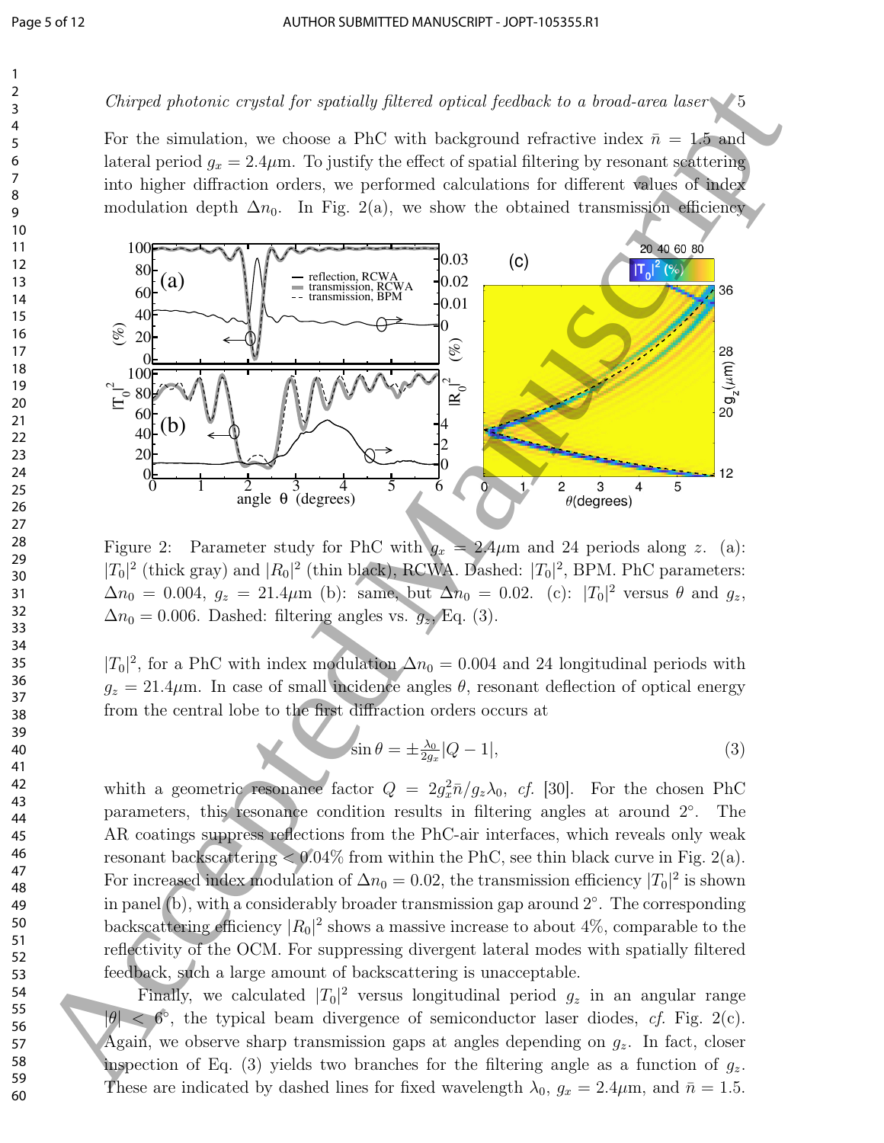For the simulation, we choose a PhC with background refractive index  $\bar{n} = 1.5$  and lateral period  $g_x = 2.4 \mu$ m. To justify the effect of spatial filtering by resonant scattering into higher diffraction orders, we performed calculations for different values of index modulation depth  $\Delta n_0$ . In Fig. 2(a), we show the obtained transmission efficiency



Figure 2: Parameter study for PhC with  $g_x = 2.4 \mu$ m and 24 periods along z. (a):  $|T_0|^2$  (thick gray) and  $|R_0|^2$  (thin black), RCWA. Dashed:  $|T_0|^2$ , BPM. PhC parameters:  $\Delta n_0 = 0.004$ ,  $g_z = 21.4 \mu m$  (b): same, but  $\Delta n_0 = 0.02$ . (c):  $|T_0|^2$  versus  $\theta$  and  $g_z$ ,  $\Delta n_0 = 0.006$ . Dashed: filtering angles vs.  $g_z$ , Eq. (3).

 $|T_0|^2$ , for a PhC with index modulation  $\Delta n_0 = 0.004$  and 24 longitudinal periods with  $g_z = 21.4 \mu$ m. In case of small incidence angles  $\theta$ , resonant deflection of optical energy from the central lobe to the first diffraction orders occurs at

$$
\sin \theta = \pm \frac{\lambda_0}{2g_x} |Q - 1|,\tag{3}
$$

whith a geometric resonance factor  $Q = 2g_x^2 \bar{n}/g_z \lambda_0$ , cf. [30]. For the chosen PhC parameters, this resonance condition results in filtering angles at around  $2^{\circ}$ . The AR coatings suppress reflections from the PhC-air interfaces, which reveals only weak resonant backscattering  $\lt 0.04\%$  from within the PhC, see thin black curve in Fig. 2(a). For increased index modulation of  $\Delta n_0 = 0.02$ , the transmission efficiency  $|T_0|^2$  is shown in panel  $(b)$ , with a considerably broader transmission gap around  $2^{\circ}$ . The corresponding backscattering efficiency  $|R_0|^2$  shows a massive increase to about 4%, comparable to the reflectivity of the OCM. For suppressing divergent lateral modes with spatially filtered feedback, such a large amount of backscattering is unacceptable.

Finally, we calculated  $|T_0|^2$  versus longitudinal period  $g_z$  in an angular range  $|\theta| < 6^{\circ}$ , the typical beam divergence of semiconductor laser diodes, cf. Fig. 2(c). Again, we observe sharp transmission gaps at angles depending on  $g_z$ . In fact, closer inspection of Eq. (3) yields two branches for the filtering angle as a function of  $g_z$ . These are indicated by dashed lines for fixed wavelength  $\lambda_0$ ,  $g_x = 2.4 \mu$ m, and  $\bar{n} = 1.5$ .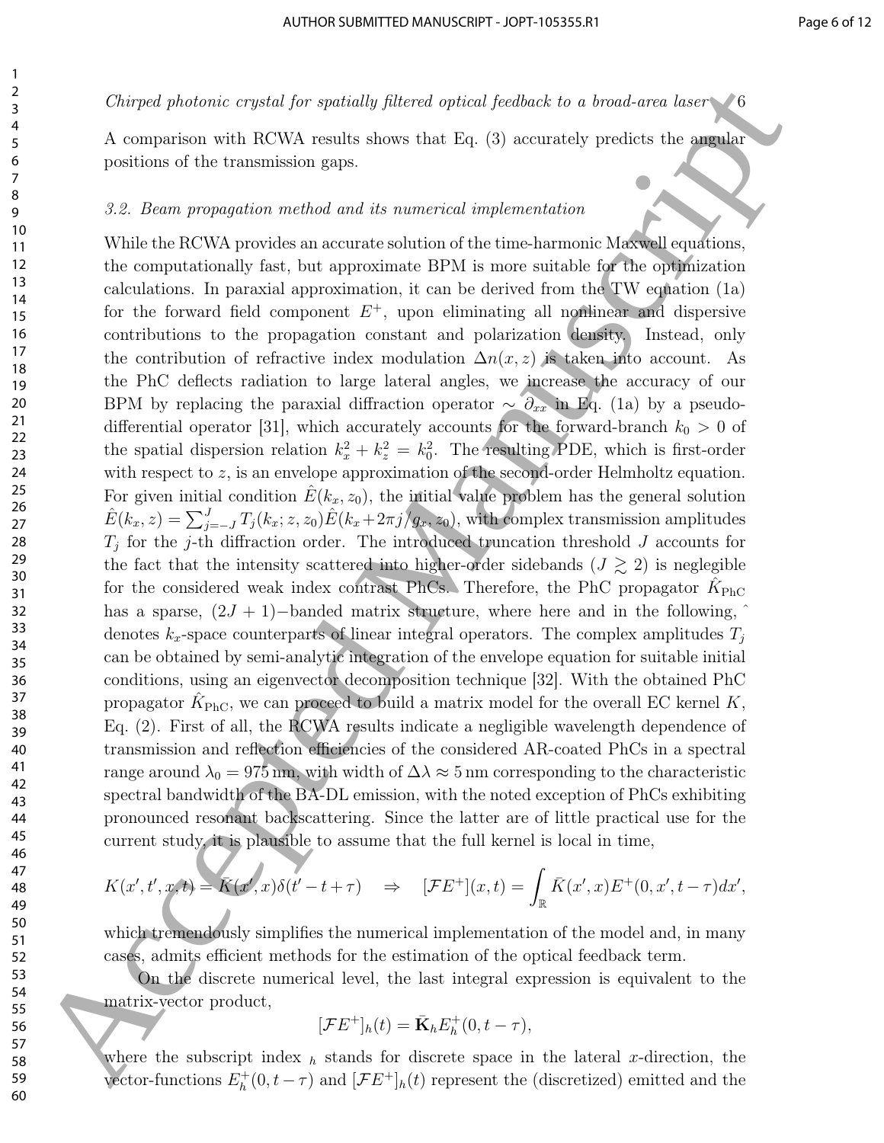A comparison with RCWA results shows that Eq. (3) accurately predicts the angular positions of the transmission gaps.

#### 3.2. Beam propagation method and its numerical implementation

While the RCWA provides an accurate solution of the time-harmonic Maxwell equations, the computationally fast, but approximate BPM is more suitable for the optimization calculations. In paraxial approximation, it can be derived from the TW equation (1a) for the forward field component  $E^+$ , upon eliminating all nonlinear and dispersive contributions to the propagation constant and polarization density. Instead, only the contribution of refractive index modulation  $\Delta n(x, z)$  is taken into account. As the PhC deflects radiation to large lateral angles, we increase the accuracy of our BPM by replacing the paraxial diffraction operator  $\sim \partial_{xx}$  in Eq. (1a) by a pseudodifferential operator [31], which accurately accounts for the forward-branch  $k_0 > 0$  of the spatial dispersion relation  $k_x^2 + k_z^2 = k_0^2$ . The resulting PDE, which is first-order with respect to z, is an envelope approximation of the second-order Helmholtz equation. For given initial condition  $\hat{E}(k_x, z_0)$ , the initial value problem has the general solution  $\hat{E}(k_x, z) = \sum_{j=-J}^{J} T_j(k_x; z, z_0) \hat{E}(k_x + 2\pi j/g_x, z_0)$ , with complex transmission amplitudes  $T_j$  for the j-th diffraction order. The introduced truncation threshold J accounts for the fact that the intensity scattered into higher-order sidebands  $(J \gtrsim 2)$  is neglegible for the considered weak index contrast PhCs. Therefore, the PhC propagator  $\hat{K}_{\text{PhC}}$ has a sparse,  $(2J + 1)$ -banded matrix structure, where here and in the following, denotes  $k_x$ -space counterparts of linear integral operators. The complex amplitudes  $T_j$ can be obtained by semi-analytic integration of the envelope equation for suitable initial conditions, using an eigenvector decomposition technique [32]. With the obtained PhC propagator  $\hat{K}_{\text{PhC}}$ , we can proceed to build a matrix model for the overall EC kernel K, Eq. (2). First of all, the RCWA results indicate a negligible wavelength dependence of transmission and reflection efficiencies of the considered AR-coated PhCs in a spectral range around  $\lambda_0 = 975 \text{ nm}$ , with width of  $\Delta \lambda \approx 5 \text{ nm}$  corresponding to the characteristic spectral bandwidth of the BA-DL emission, with the noted exception of PhCs exhibiting pronounced resonant backscattering. Since the latter are of little practical use for the current study, it is plausible to assume that the full kernel is local in time, Chirges photonic equals (or spatially photon depicts from<br>both the chiraction of the corresponding to the filler (2) are morely probable the corresponding points<br>of the corresponding matrix in the filler (2) are morely pr

$$
K(x',t',x,t) = \overline{K}(x',x)\delta(t'-t+\tau) \quad \Rightarrow \quad [\mathcal{F}E^+](x,t) = \int_{\mathbb{R}} \overline{K}(x',x)E^+(0,x',t-\tau)dx',
$$

which tremendously simplifies the numerical implementation of the model and, in many cases, admits efficient methods for the estimation of the optical feedback term.

On the discrete numerical level, the last integral expression is equivalent to the matrix-vector product,

$$
[\mathcal{F}E^+]_h(t) = \bar{\mathbf{K}}_h E_h^+(0, t - \tau),
$$

where the subscript index  $h$  stands for discrete space in the lateral x-direction, the vector-functions  $E_h^+$  $h_h^+(0, t-\tau)$  and  $[\mathcal{F}E^+]_h(t)$  represent the (discretized) emitted and the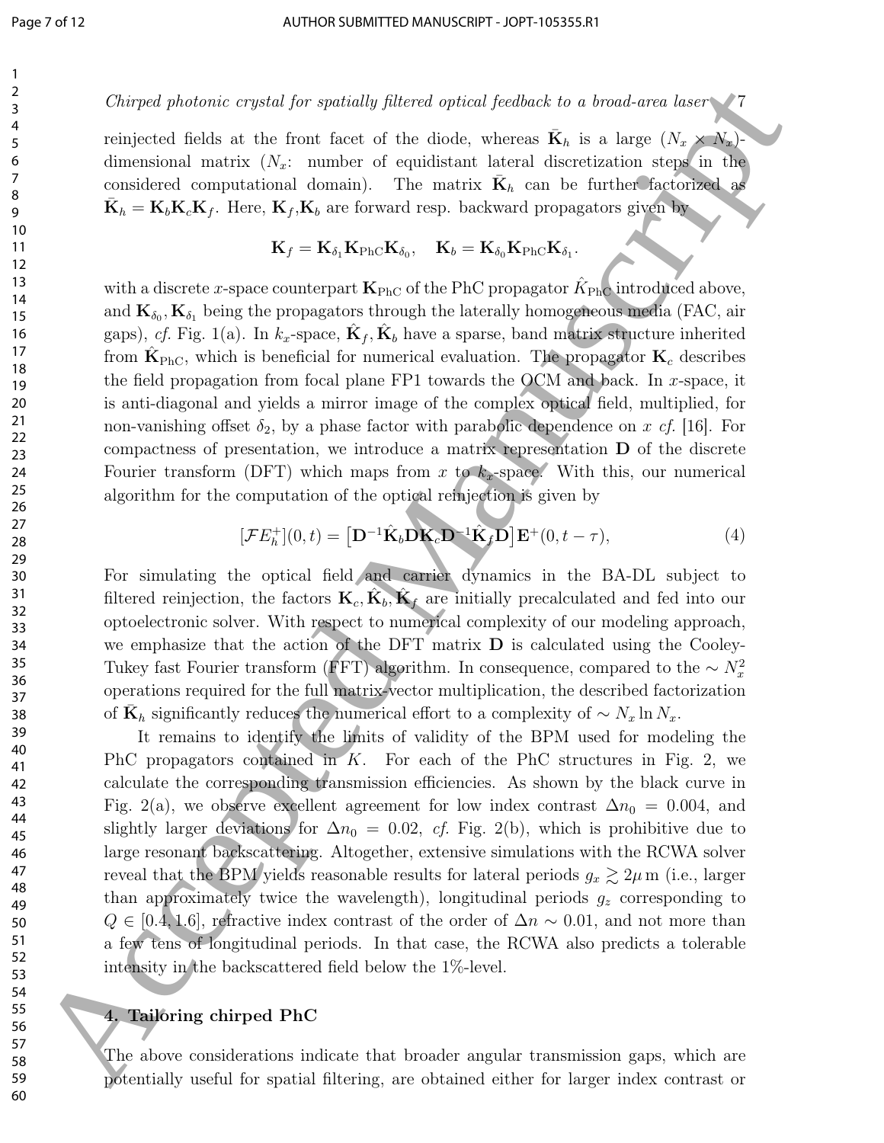reinjected fields at the front facet of the diode, whereas  $\bar{\mathbf{K}}_h$  is a large  $(N_x \times N_x)$ dimensional matrix  $(N_x:$  number of equidistant lateral discretization steps in the considered computational domain). The matrix  $\bar{\mathbf{K}}_h$  can be further factorized as  $\bar{\mathbf{K}}_h = \mathbf{K}_b \mathbf{K}_c \mathbf{K}_f$ . Here,  $\mathbf{K}_f$ ,  $\mathbf{K}_b$  are forward resp. backward propagators given by

$$
\mathbf{K}_f = \mathbf{K}_{\delta_1} \mathbf{K}_{\text{PhC}} \mathbf{K}_{\delta_0}, \quad \mathbf{K}_b = \mathbf{K}_{\delta_0} \mathbf{K}_{\text{PhC}} \mathbf{K}_{\delta_1}.
$$

with a discrete *x*-space counterpart  $\mathbf{K}_{\text{PhC}}$  of the PhC propagator  $\hat{K}_{\text{PhC}}$  introduced above, and  $\mathbf{K}_{\delta_0}, \mathbf{K}_{\delta_1}$  being the propagators through the laterally homogeneous media (FAC, air gaps), *cf.* Fig. 1(a). In  $k_x$ -space,  $\hat{\mathbf{K}}_f$ ,  $\hat{\mathbf{K}}_b$  have a sparse, band matrix structure inherited from  $\hat{\mathbf{K}}_{\text{PhC}}$ , which is beneficial for numerical evaluation. The propagator  $\mathbf{K}_c$  describes the field propagation from focal plane  $FPI$  towards the OCM and back. In x-space, it is anti-diagonal and yields a mirror image of the complex optical field, multiplied, for non-vanishing offset  $\delta_2$ , by a phase factor with parabolic dependence on x cf. [16]. For compactness of presentation, we introduce a matrix representation D of the discrete Fourier transform (DFT) which maps from x to  $k_x$ -space. With this, our numerical algorithm for the computation of the optical reinjection is given by

$$
[\mathcal{F}E_h^+](0,t) = \left[\mathbf{D}^{-1}\hat{\mathbf{K}}_b \mathbf{D} \mathbf{K}_c \mathbf{D}^{-1} \hat{\mathbf{K}}_f \mathbf{D}\right] \mathbf{E}^+(0,t-\tau),\tag{4}
$$

For simulating the optical field and carrier dynamics in the BA-DL subject to filtered reinjection, the factors  $\mathbf{K}_c, \hat{\mathbf{K}}_b, \hat{\mathbf{K}}_f$  are initially precalculated and fed into our optoelectronic solver. With respect to numerical complexity of our modeling approach, we emphasize that the action of the DFT matrix  $\bf{D}$  is calculated using the Cooley-Tukey fast Fourier transform (FFT) algorithm. In consequence, compared to the  $\sim N_x^2$ operations required for the full matrix-vector multiplication, the described factorization of  $\bar{\mathbf{K}}_h$  significantly reduces the numerical effort to a complexity of  $\sim N_x \ln N_x$ .

It remains to identify the limits of validity of the BPM used for modeling the PhC propagators contained in  $K$ . For each of the PhC structures in Fig. 2, we calculate the corresponding transmission efficiencies. As shown by the black curve in Fig. 2(a), we observe excellent agreement for low index contrast  $\Delta n_0 = 0.004$ , and slightly larger deviations for  $\Delta n_0 = 0.02$ , cf. Fig. 2(b), which is prohibitive due to large resonant backscattering. Altogether, extensive simulations with the RCWA solver reveal that the BPM yields reasonable results for lateral periods  $g_x \gtrsim 2\mu$  m (i.e., larger than approximately twice the wavelength), longitudinal periods  $g<sub>z</sub>$  corresponding to  $Q \in [0.4, 1.6]$ , refractive index contrast of the order of  $\Delta n \sim 0.01$ , and not more than a few tens of longitudinal periods. In that case, the RCWA also predicts a tolerable intensity in the backscattered field below the 1%-level. Chirges photonic crystal for spatially provided prices from<br>both the chiractions in the state of the state of the disk, where it is<br>a consistent matrix ( $N_x$  where  $N_y$  regions the state of the<br>state steps of the state of

## 4. Tailoring chirped PhC

The above considerations indicate that broader angular transmission gaps, which are potentially useful for spatial filtering, are obtained either for larger index contrast or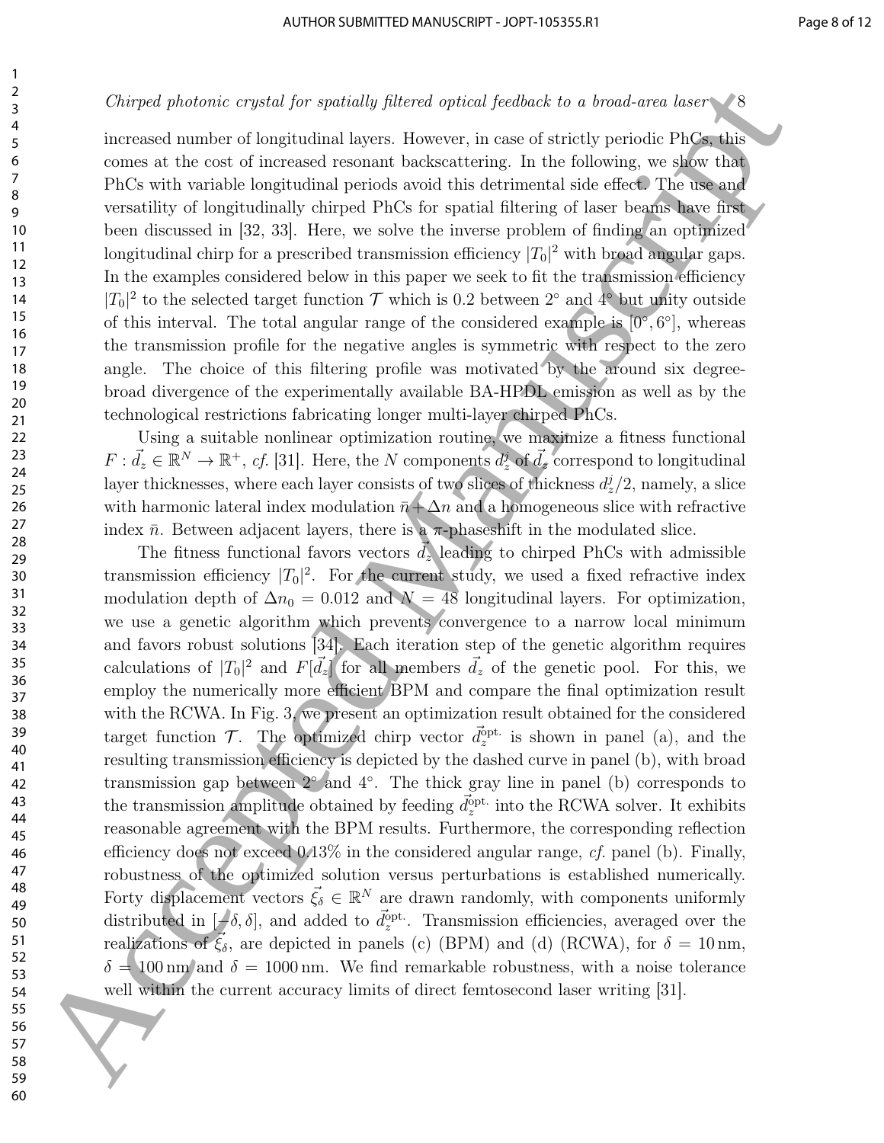increased number of longitudinal layers. However, in case of strictly periodic PhCs, this comes at the cost of increased resonant backscattering. In the following, we show that PhCs with variable longitudinal periods avoid this detrimental side effect. The use and versatility of longitudinally chirped PhCs for spatial filtering of laser beams have first been discussed in [32, 33]. Here, we solve the inverse problem of finding an optimized longitudinal chirp for a prescribed transmission efficiency  $|T_0|^2$  with broad angular gaps. In the examples considered below in this paper we seek to fit the transmission efficiency  $|T_0|^2$  to the selected target function  $\mathcal T$  which is 0.2 between  $2^{\circ}$  and  $4^{\circ}$  but unity outside of this interval. The total angular range of the considered example is  $[0^{\circ}, 6^{\circ}]$ , whereas the transmission profile for the negative angles is symmetric with respect to the zero angle. The choice of this filtering profile was motivated by the around six degreebroad divergence of the experimentally available BA-HPDL emission as well as by the technological restrictions fabricating longer multi-layer chirped PhCs.

Using a suitable nonlinear optimization routine, we maximize a fitness functional  $F: \vec{d}_z \in \mathbb{R}^N \to \mathbb{R}^+, \text{ cf. } [31].$  Here, the N components  $d_z^j$  of  $\vec{d}_z$  correspond to longitudinal layer thicknesses, where each layer consists of two slices of thickness  $d_z^j/2$ , namely, a slice with harmonic lateral index modulation  $\bar{n} + \Delta n$  and a homogeneous slice with refractive index  $\bar{n}$ . Between adjacent layers, there is a  $\pi$ -phaseshift in the modulated slice.

The fitness functional favors vectors  $\overrightarrow{d}_z$  leading to chirped PhCs with admissible transmission efficiency  $|T_0|^2$ . For the current study, we used a fixed refractive index modulation depth of  $\Delta n_0 = 0.012$  and  $N = 48$  longitudinal layers. For optimization, we use a genetic algorithm which prevents convergence to a narrow local minimum and favors robust solutions [34]. Each iteration step of the genetic algorithm requires calculations of  $|T_0|^2$  and  $F[\vec{d}_z]$  for all members  $\vec{d}_z$  of the genetic pool. For this, we employ the numerically more efficient BPM and compare the final optimization result with the RCWA. In Fig. 3, we present an optimization result obtained for the considered target function  $\mathcal{T}$ . The optimized chirp vector  $\vec{d}_z^{\text{opt.}}$  is shown in panel (a), and the resulting transmission efficiency is depicted by the dashed curve in panel (b), with broad transmission gap between  $2^{\circ}$  and  $4^{\circ}$ . The thick gray line in panel (b) corresponds to the transmission amplitude obtained by feeding  $\vec{d}_{z}^{\text{opt.}}$  into the RCWA solver. It exhibits reasonable agreement with the BPM results. Furthermore, the corresponding reflection efficiency does not exceed 0.13% in the considered angular range, cf. panel (b). Finally, robustness of the optimized solution versus perturbations is established numerically. Forty displacement vectors  $\vec{\xi}_{\delta} \in \mathbb{R}^{N}$  are drawn randomly, with components uniformly distributed in  $[-\delta, \delta]$ , and added to  $\vec{d}_z^{\text{opt}}$ . Transmission efficiencies, averaged over the realizations of  $\vec{\xi}_{\delta}$ , are depicted in panels (c) (BPM) and (d) (RCWA), for  $\delta = 10 \text{ nm}$ ,  $\delta = 100 \,\mathrm{nm}$  and  $\delta = 1000 \,\mathrm{nm}$ . We find remarkable robustness, with a noise tolerance well within the current accuracy limits of direct femtosecond laser writing [31]. Chirges photonic captat for spatially provided prices from<br>derivative to a reconstruction of the control between the shortest<br>manuscriptic of the control between the spatially in the following we show that<br>the control bet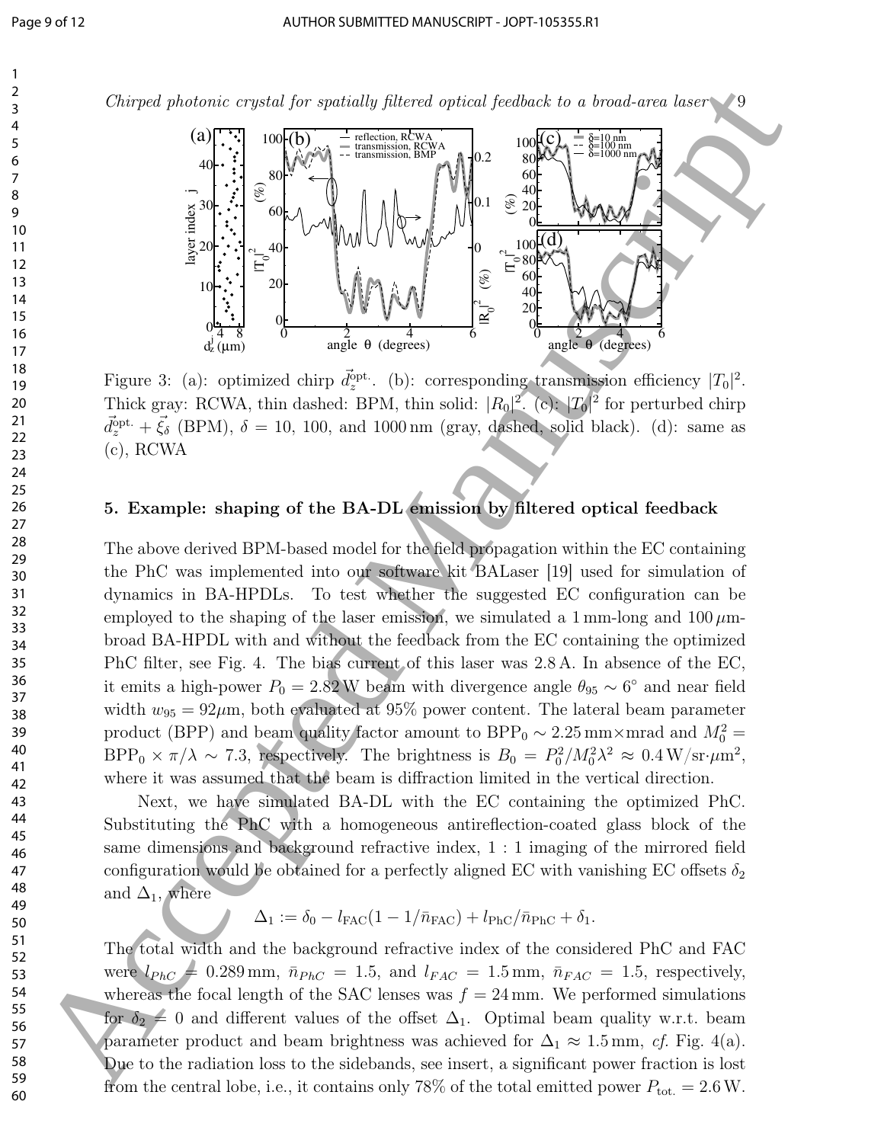

Figure 3: (a): optimized chirp  $\vec{d}_z^{\text{opt}}$ . (b): corresponding transmission efficiency  $|T_0|^2$ . Thick gray: RCWA, thin dashed: BPM, thin solid:  $|R_0|^2$ . (c):  $|T_0|^2$  for perturbed chirp  $\vec{d}_{z}^{\text{opt.}} + \vec{\xi}_{\delta}$  (BPM),  $\delta = 10, 100, \text{ and } 1000 \text{ nm}$  (gray, dashed, solid black). (d): same as (c), RCWA

## 5. Example: shaping of the BA-DL emission by filtered optical feedback

The above derived BPM-based model for the field propagation within the EC containing the PhC was implemented into our software kit BALaser [19] used for simulation of dynamics in BA-HPDLs. To test whether the suggested EC configuration can be employed to the shaping of the laser emission, we simulated a  $1 \text{ mm-long}$  and  $100 \mu \text{m}$ broad BA-HPDL with and without the feedback from the EC containing the optimized PhC filter, see Fig. 4. The bias current of this laser was 2.8 A. In absence of the EC, it emits a high-power  $P_0 = 2.82 \text{ W}$  beam with divergence angle  $\theta_{95} \sim 6^{\circ}$  and near field width  $w_{95} = 92 \mu m$ , both evaluated at 95% power content. The lateral beam parameter product (BPP) and beam quality factor amount to BPP<sub>0</sub> ~ 2.25 mm×mrad and  $M_0^2$  =  $BPP_0 \times \pi/\lambda \sim 7.3$ , respectively. The brightness is  $B_0 = P_0^2/M_0^2\lambda^2 \approx 0.4 \,\text{W/sr·}\mu\text{m}^2$ , where it was assumed that the beam is diffraction limited in the vertical direction. Chirges protocols counted for spotsors prices from the<br>space of the spotsors from the space of the space of the space of the space of<br> $\theta$  and  $\theta$  and  $\theta$  and  $\theta$  and  $\theta$  and  $\theta$  and  $\theta$  and  $\theta$  and  $\theta$  and  $\theta$  a

Next, we have simulated BA-DL with the EC containing the optimized PhC. Substituting the PhC with a homogeneous antireflection-coated glass block of the same dimensions and background refractive index, 1 : 1 imaging of the mirrored field configuration would be obtained for a perfectly aligned EC with vanishing EC offsets  $\delta_2$ and  $\Delta_1$ , where

 $\Delta_1 := \delta_0 - l_{\text{FAC}} (1 - 1/\bar{n}_{\text{FAC}}) + l_{\text{PhC}}/\bar{n}_{\text{PhC}} + \delta_1.$ 

The total width and the background refractive index of the considered PhC and FAC were  $l_{PhC} = 0.289$  mm,  $\bar{n}_{PhC} = 1.5$ , and  $l_{FAC} = 1.5$  mm,  $\bar{n}_{FAC} = 1.5$ , respectively, whereas the focal length of the SAC lenses was  $f = 24$  mm. We performed simulations for  $\delta_2 = 0$  and different values of the offset  $\Delta_1$ . Optimal beam quality w.r.t. beam parameter product and beam brightness was achieved for  $\Delta_1 \approx 1.5$  mm, cf. Fig. 4(a). Due to the radiation loss to the sidebands, see insert, a significant power fraction is lost from the central lobe, i.e., it contains only 78% of the total emitted power  $P_{\text{tot.}} = 2.6 \text{ W}$ .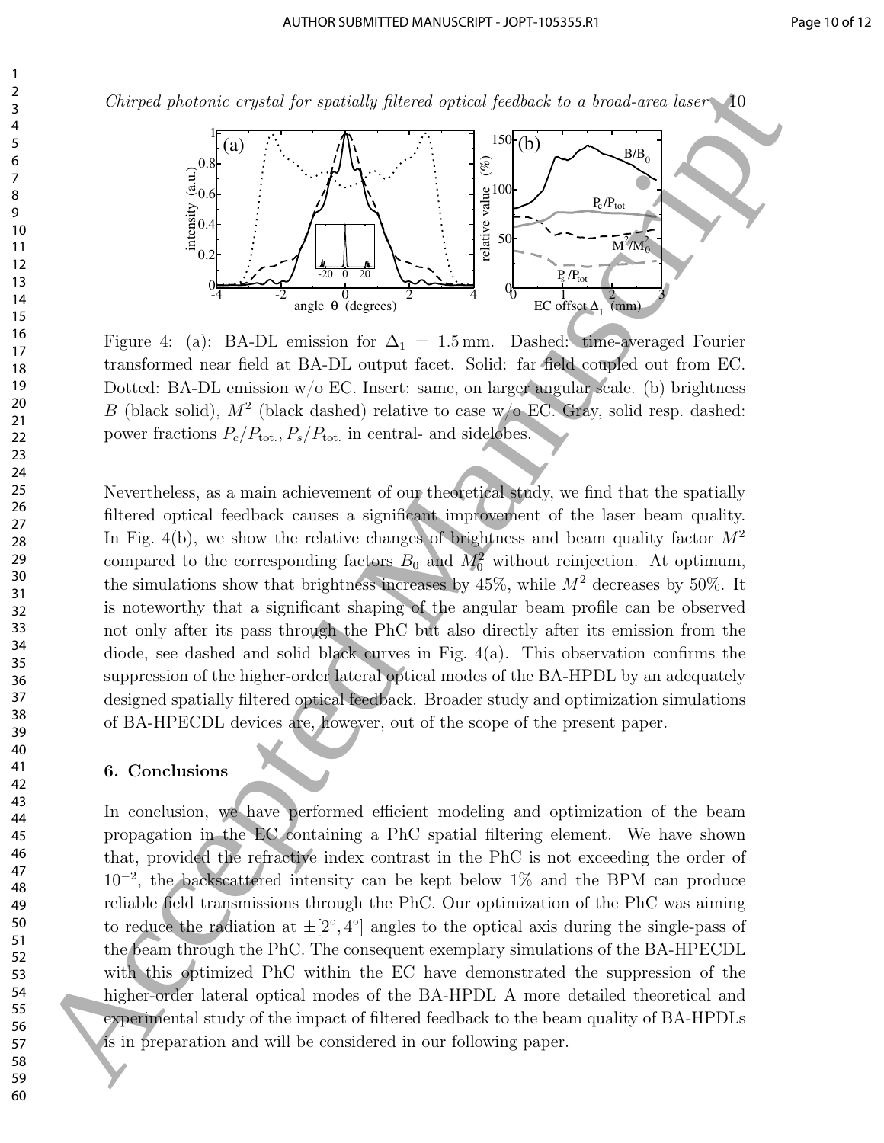$Chirped~photonic~crystal~for~spatially~filtered~optical~feedback~to~a~broad-area~laser$ 



Figure 4: (a): BA-DL emission for  $\Delta_1 = 1.5$  mm. Dashed: time-averaged Fourier transformed near field at BA-DL output facet. Solid: far field coupled out from EC. Dotted: BA-DL emission  $w/o$  EC. Insert: same, on larger angular scale. (b) brightness B (black solid),  $M^2$  (black dashed) relative to case w/o EC. Gray, solid resp. dashed: power fractions  $P_c/P_{\text{tot.}}$ ,  $P_s/P_{\text{tot.}}$  in central- and sidelobes.

Nevertheless, as a main achievement of our theoretical study, we find that the spatially filtered optical feedback causes a significant improvement of the laser beam quality. In Fig. 4(b), we show the relative changes of brightness and beam quality factor  $M^2$ compared to the corresponding factors  $B_0$  and  $M_0^2$  without reinjection. At optimum, the simulations show that brightness increases by  $45\%$ , while  $M^2$  decreases by 50%. It is noteworthy that a significant shaping of the angular beam profile can be observed not only after its pass through the PhC but also directly after its emission from the diode, see dashed and solid black curves in Fig. 4(a). This observation confirms the suppression of the higher-order lateral optical modes of the BA-HPDL by an adequately designed spatially filtered optical feedback. Broader study and optimization simulations of BA-HPECDL devices are, however, out of the scope of the present paper. Chirges proteined or pressident per sponsoring forces or<br>since the measurement of the sponsoring state of the space of the space of<br> $\frac{2}{3}$ <br>  $\frac{2}{3}$ <br>  $\frac{2}{3}$ <br>  $\frac{2}{3}$ <br>  $\frac{2}{3}$ <br>  $\frac{2}{3}$ <br>  $\frac{2}{3}$ <br>  $\frac{2}{3}$ <br>

#### 6. Conclusions

In conclusion, we have performed efficient modeling and optimization of the beam propagation in the EC containing a PhC spatial filtering element. We have shown that, provided the refractive index contrast in the PhC is not exceeding the order of 10<sup>−</sup><sup>2</sup> , the backscattered intensity can be kept below 1% and the BPM can produce reliable field transmissions through the PhC. Our optimization of the PhC was aiming to reduce the radiation at  $\pm [2^{\circ}, 4^{\circ}]$  angles to the optical axis during the single-pass of the beam through the PhC. The consequent exemplary simulations of the BA-HPECDL with this optimized PhC within the EC have demonstrated the suppression of the higher-order lateral optical modes of the BA-HPDL A more detailed theoretical and experimental study of the impact of filtered feedback to the beam quality of BA-HPDLs is in preparation and will be considered in our following paper.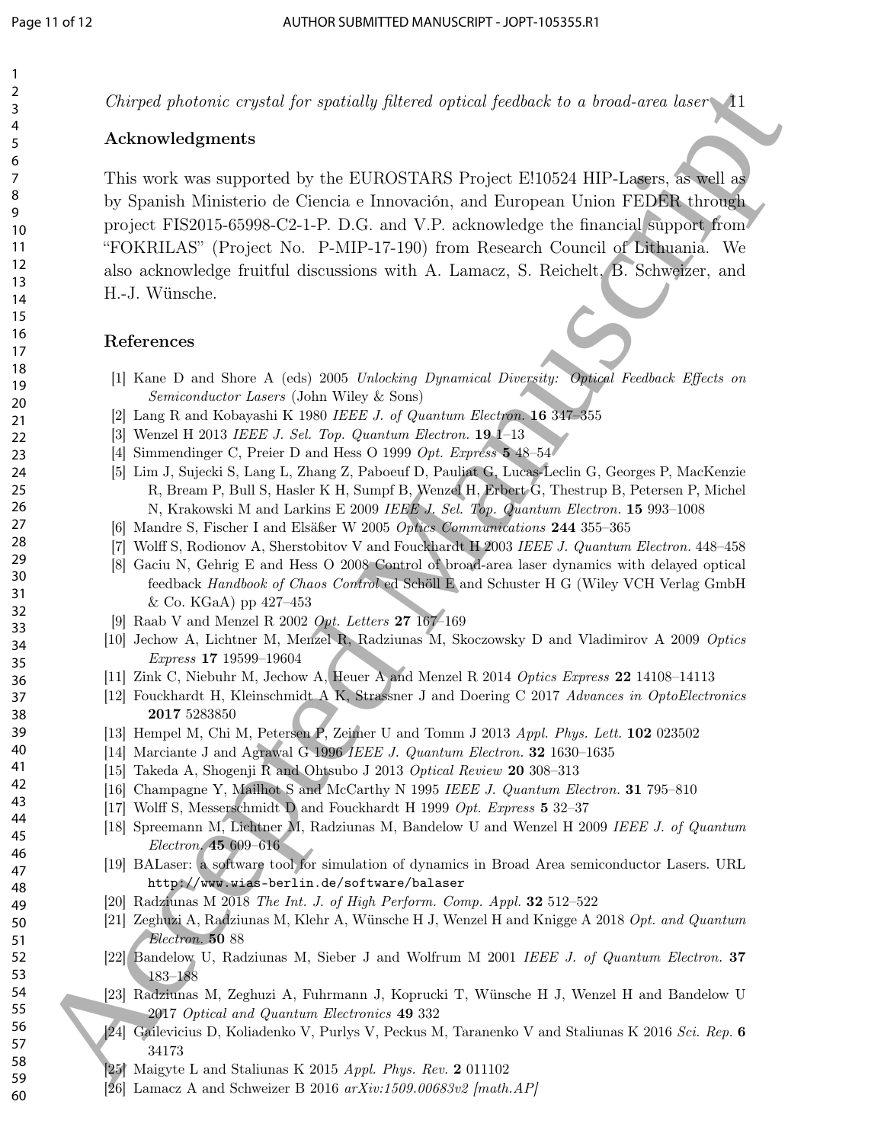$Chirped photonic crystal for spatially filtered optical feedback to a broad-area laser$ 

## Acknowledgments

This work was supported by the EUROSTARS Project E!10524 HIP-Lasers, as well as by Spanish Ministerio de Ciencia e Innovación, and European Union FEDER through project FIS2015-65998-C2-1-P. D.G. and V.P. acknowledge the financial support from "FOKRILAS" (Project No. P-MIP-17-190) from Research Council of Lithuania. We also acknowledge fruitful discussions with A. Lamacz, S. Reichelt, B. Schweizer, and H.-J. Wünsche. Chirges photonic expense of a Fancistal per spatially photon spirite from<br>Norman Language and the spiritual person of the SURGENTARIS Propert FO10-24 BIP Laguax and 1<br>
This section are a supposed by the FUROTTARIS Propert

#### References

- [1] Kane D and Shore A (eds) 2005 Unlocking Dynamical Diversity: Optical Feedback Effects on Semiconductor Lasers (John Wiley & Sons)
- [2] Lang R and Kobayashi K 1980 IEEE J. of Quantum Electron. 16 347–355
- [3] Wenzel H 2013 IEEE J. Sel. Top. Quantum Electron. 19 1–13
- [4] Simmendinger C, Preier D and Hess O 1999 Opt. Express 5 48–54
- [5] Lim J, Sujecki S, Lang L, Zhang Z, Paboeuf D, Pauliat G, Lucas-Leclin G, Georges P, MacKenzie R, Bream P, Bull S, Hasler K H, Sumpf B, Wenzel H, Erbert G, Thestrup B, Petersen P, Michel N, Krakowski M and Larkins E 2009 IEEE J. Sel. Top. Quantum Electron. 15 993-1008
- [6] Mandre S, Fischer I and Elsäßer W 2005 Optics Communications 244 355–365
- [7] Wolff S, Rodionov A, Sherstobitov V and Fouckhardt H 2003 IEEE J. Quantum Electron. 448–458
- [8] Gaciu N, Gehrig E and Hess O 2008 Control of broad-area laser dynamics with delayed optical feedback Handbook of Chaos Control ed Schöll E and Schuster H G (Wiley VCH Verlag GmbH & Co. KGaA) pp 427–453
- [9] Raab V and Menzel R 2002 Opt. Letters 27 167–169
- [10] Jechow A, Lichtner M, Menzel R, Radziunas M, Skoczowsky D and Vladimirov A 2009 Optics Express 17 19599–19604
- [11] Zink C, Niebuhr M, Jechow A, Heuer A and Menzel R 2014 Optics Express 22 14108–14113
- [12] Fouckhardt H, Kleinschmidt A K, Strassner J and Doering C 2017 Advances in OptoElectronics 2017 5283850
- [13] Hempel M, Chi M, Petersen P, Zeimer U and Tomm J 2013 Appl. Phys. Lett. 102 023502
- [14] Marciante J and Agrawal G 1996 IEEE J. Quantum Electron. 32 1630–1635
- [15] Takeda A, Shogenji R and Ohtsubo J 2013 Optical Review 20 308–313
- [16] Champagne Y, Mailhot S and McCarthy N 1995 IEEE J. Quantum Electron. 31 795–810
- [17] Wolff S, Messerschmidt D and Fouckhardt H 1999 Opt. Express 5 32-37
- [18] Spreemann M, Lichtner M, Radziunas M, Bandelow U and Wenzel H 2009 IEEE J. of Quantum Electron. 45 609–616
- [19] BALaser: a software tool for simulation of dynamics in Broad Area semiconductor Lasers. URL http://www.wias-berlin.de/software/balaser
- [20] Radziunas M 2018 The Int. J. of High Perform. Comp. Appl. 32 512–522
- [21] Zeghuzi A, Radziunas M, Klehr A, Wünsche H J, Wenzel H and Knigge A 2018 Opt. and Quantum Electron. 50 88
- [22] Bandelow U, Radziunas M, Sieber J and Wolfrum M 2001 IEEE J. of Quantum Electron. 37 183–188
- [23] Radziunas M, Zeghuzi A, Fuhrmann J, Koprucki T, Wünsche H J, Wenzel H and Bandelow U 2017 Optical and Quantum Electronics 49 332
- [24] Gailevicius D, Koliadenko V, Purlys V, Peckus M, Taranenko V and Staliunas K 2016 Sci. Rep. 6 34173
- [25] Maigyte L and Staliunas K 2015 Appl. Phys. Rev. 2 011102
- [26] Lamacz A and Schweizer B 2016  $arXiv:1509.00683v2$  [math.AP]